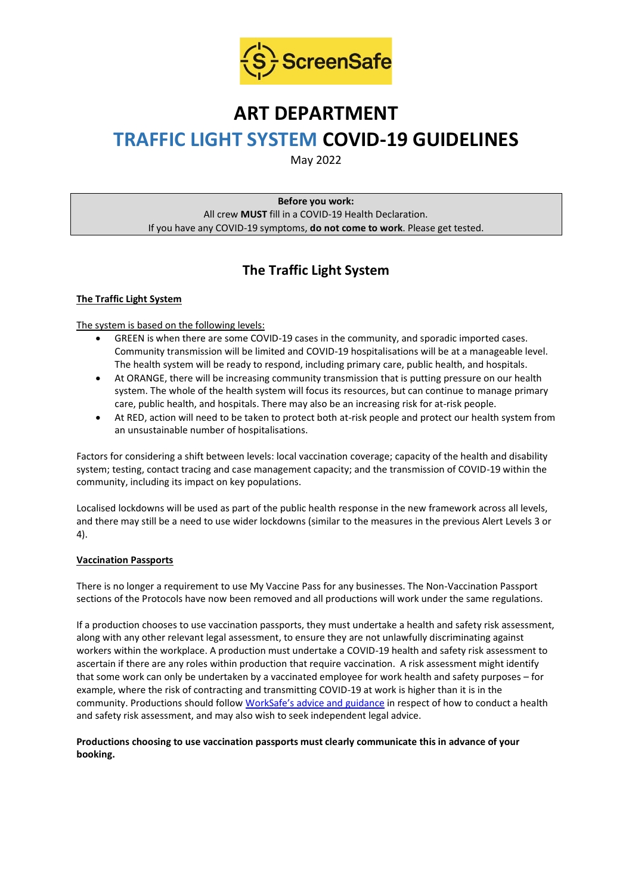

# **ART DEPARTMENT**

# **TRAFFIC LIGHT SYSTEM COVID-19 GUIDELINES**

May 2022

**Before you work:** All crew **MUST** fill in a COVID-19 Health Declaration. If you have any COVID-19 symptoms, **do not come to work**. Please get tested.

## **The Traffic Light System**

#### **The Traffic Light System**

#### The system is based on the following levels:

- GREEN is when there are some COVID-19 cases in the community, and sporadic imported cases. Community transmission will be limited and COVID-19 hospitalisations will be at a manageable level. The health system will be ready to respond, including primary care, public health, and hospitals.
- At ORANGE, there will be increasing community transmission that is putting pressure on our health system. The whole of the health system will focus its resources, but can continue to manage primary care, public health, and hospitals. There may also be an increasing risk for at-risk people.
- At RED, action will need to be taken to protect both at-risk people and protect our health system from an unsustainable number of hospitalisations.

Factors for considering a shift between levels: local vaccination coverage; capacity of the health and disability system; testing, contact tracing and case management capacity; and the transmission of COVID-19 within the community, including its impact on key populations.

Localised lockdowns will be used as part of the public health response in the new framework across all levels, and there may still be a need to use wider lockdowns (similar to the measures in the previous Alert Levels 3 or 4).

#### **Vaccination Passports**

There is no longer a requirement to use My Vaccine Pass for any businesses. The Non-Vaccination Passport sections of the Protocols have now been removed and all productions will work under the same regulations.

If a production chooses to use vaccination passports, they must undertake a health and safety risk assessment, along with any other relevant legal assessment, to ensure they are not unlawfully discriminating against workers within the workplace. A production must undertake a COVID-19 health and safety risk assessment to ascertain if there are any roles within production that require vaccination. A risk assessment might identify that some work can only be undertaken by a vaccinated employee for work health and safety purposes – for example, where the risk of contracting and transmitting COVID-19 at work is higher than it is in the community. Productions should follow [WorkSafe's advice and guidance](https://www.worksafe.govt.nz/managing-health-and-safety/novel-coronavirus-covid/covid-19-controls-at-work/) in respect of how to conduct a health and safety risk assessment, and may also wish to seek independent legal advice.

#### **Productions choosing to use vaccination passports must clearly communicate this in advance of your booking.**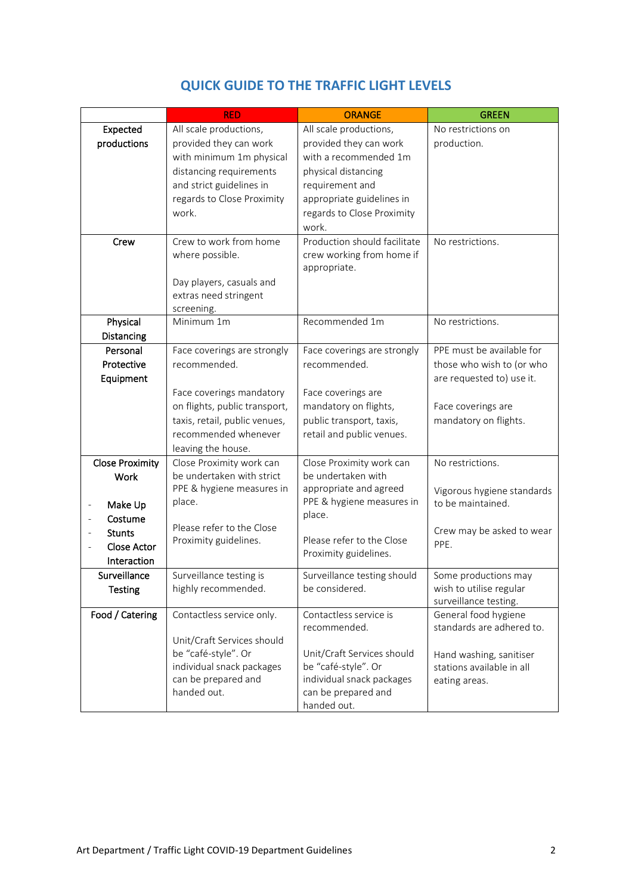|                        | <b>RED</b>                    | <b>ORANGE</b>                | <b>GREEN</b>                                  |
|------------------------|-------------------------------|------------------------------|-----------------------------------------------|
| Expected               | All scale productions,        | All scale productions,       | No restrictions on                            |
| productions            | provided they can work        | provided they can work       | production.                                   |
|                        | with minimum 1m physical      | with a recommended 1m        |                                               |
|                        | distancing requirements       | physical distancing          |                                               |
|                        | and strict guidelines in      | requirement and              |                                               |
|                        | regards to Close Proximity    | appropriate guidelines in    |                                               |
|                        | work.                         | regards to Close Proximity   |                                               |
|                        |                               | work.                        |                                               |
| Crew                   | Crew to work from home        | Production should facilitate | No restrictions.                              |
|                        | where possible.               | crew working from home if    |                                               |
|                        |                               | appropriate.                 |                                               |
|                        | Day players, casuals and      |                              |                                               |
|                        | extras need stringent         |                              |                                               |
| Physical               | screening.<br>Minimum 1m      | Recommended 1m               | No restrictions.                              |
| Distancing             |                               |                              |                                               |
| Personal               | Face coverings are strongly   | Face coverings are strongly  | PPE must be available for                     |
| Protective             | recommended.                  | recommended.                 | those who wish to (or who                     |
| Equipment              |                               |                              | are requested to) use it.                     |
|                        | Face coverings mandatory      | Face coverings are           |                                               |
|                        | on flights, public transport, | mandatory on flights,        | Face coverings are                            |
|                        | taxis, retail, public venues, | public transport, taxis,     | mandatory on flights.                         |
|                        | recommended whenever          | retail and public venues.    |                                               |
|                        | leaving the house.            |                              |                                               |
| <b>Close Proximity</b> | Close Proximity work can      | Close Proximity work can     | No restrictions.                              |
| Work                   | be undertaken with strict     | be undertaken with           |                                               |
|                        | PPE & hygiene measures in     | appropriate and agreed       | Vigorous hygiene standards                    |
| Make Up                | place.                        | PPE & hygiene measures in    | to be maintained.                             |
| Costume                | Please refer to the Close     | place.                       |                                               |
| <b>Stunts</b>          | Proximity guidelines.         | Please refer to the Close    | Crew may be asked to wear                     |
| <b>Close Actor</b>     |                               | Proximity guidelines.        | PPE.                                          |
| Interaction            |                               |                              |                                               |
| Surveillance           | Surveillance testing is       | Surveillance testing should  | Some productions may                          |
| <b>Testing</b>         | highly recommended.           | be considered.               | wish to utilise regular                       |
| Food / Catering        | Contactless service only.     | Contactless service is       | surveillance testing.<br>General food hygiene |
|                        |                               | recommended.                 | standards are adhered to.                     |
|                        | Unit/Craft Services should    |                              |                                               |
|                        | be "café-style". Or           | Unit/Craft Services should   | Hand washing, sanitiser                       |
|                        | individual snack packages     | be "café-style". Or          | stations available in all                     |
|                        | can be prepared and           | individual snack packages    | eating areas.                                 |
|                        | handed out.                   | can be prepared and          |                                               |
|                        |                               | handed out.                  |                                               |

### **QUICK GUIDE TO THE TRAFFIC LIGHT LEVELS**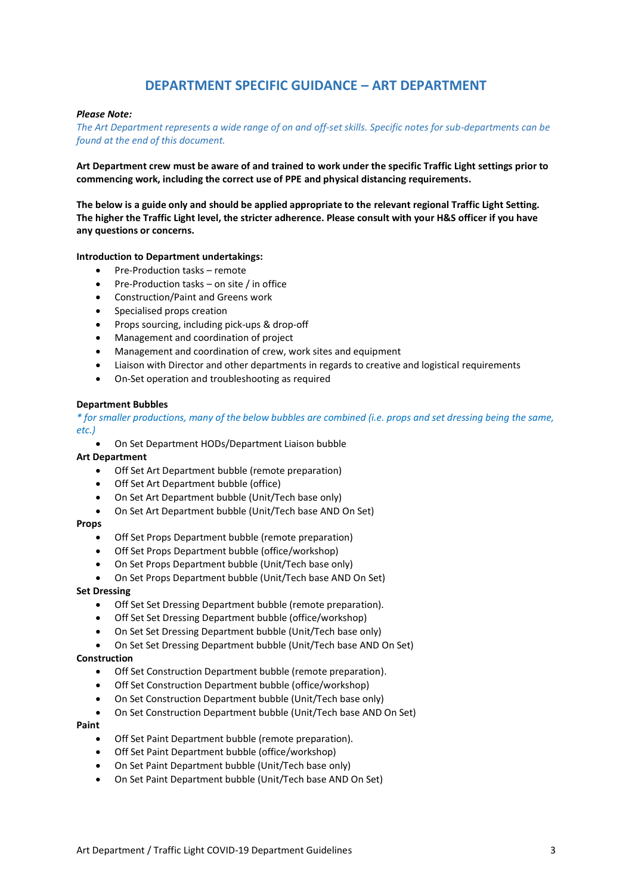### **DEPARTMENT SPECIFIC GUIDANCE – ART DEPARTMENT**

#### *Please Note:*

*The Art Department represents a wide range of on and off-set skills. Specific notes for sub-departments can be found at the end of this document.*

**Art Department crew must be aware of and trained to work under the specific Traffic Light settings prior to commencing work, including the correct use of PPE and physical distancing requirements.**

**The below is a guide only and should be applied appropriate to the relevant regional Traffic Light Setting. The higher the Traffic Light level, the stricter adherence. Please consult with your H&S officer if you have any questions or concerns.**

#### **Introduction to Department undertakings:**

- Pre-Production tasks remote
- Pre-Production tasks on site / in office
- Construction/Paint and Greens work
- Specialised props creation
- Props sourcing, including pick-ups & drop-off
- Management and coordination of project
- Management and coordination of crew, work sites and equipment
- Liaison with Director and other departments in regards to creative and logistical requirements
- On-Set operation and troubleshooting as required

#### **Department Bubbles**

*\* for smaller productions, many of the below bubbles are combined (i.e. props and set dressing being the same, etc.)*

• On Set Department HODs/Department Liaison bubble

#### **Art Department**

- Off Set Art Department bubble (remote preparation)
- Off Set Art Department bubble (office)
- On Set Art Department bubble (Unit/Tech base only)
- On Set Art Department bubble (Unit/Tech base AND On Set)

#### **Props**

- Off Set Props Department bubble (remote preparation)
- Off Set Props Department bubble (office/workshop)
- On Set Props Department bubble (Unit/Tech base only)
- On Set Props Department bubble (Unit/Tech base AND On Set)

#### **Set Dressing**

- Off Set Set Dressing Department bubble (remote preparation).
- Off Set Set Dressing Department bubble (office/workshop)
- On Set Set Dressing Department bubble (Unit/Tech base only)
- On Set Set Dressing Department bubble (Unit/Tech base AND On Set)

#### **Construction**

- Off Set Construction Department bubble (remote preparation).
- Off Set Construction Department bubble (office/workshop)
- On Set Construction Department bubble (Unit/Tech base only)
- On Set Construction Department bubble (Unit/Tech base AND On Set)

#### **Paint**

- Off Set Paint Department bubble (remote preparation).
- Off Set Paint Department bubble (office/workshop)
- On Set Paint Department bubble (Unit/Tech base only)
- On Set Paint Department bubble (Unit/Tech base AND On Set)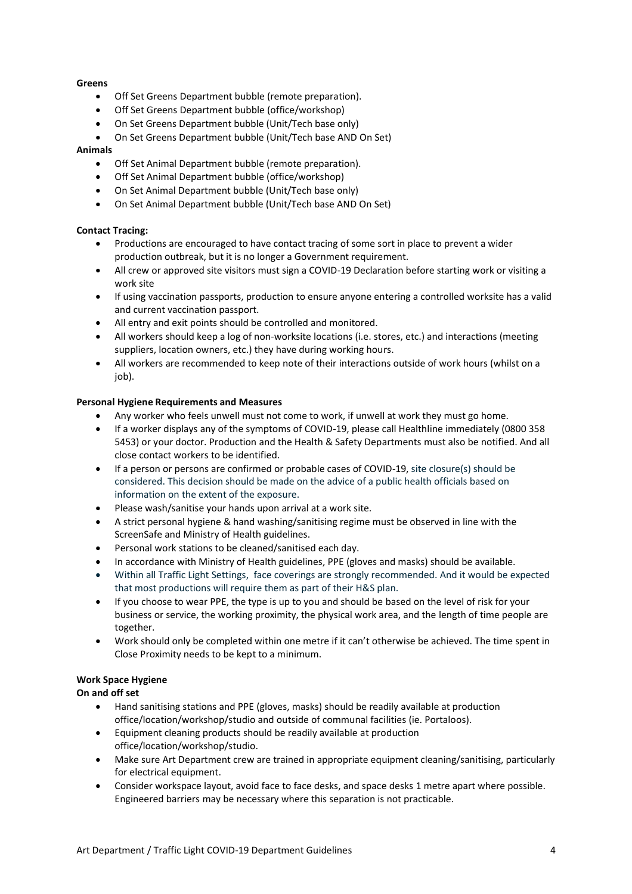#### **Greens**

- Off Set Greens Department bubble (remote preparation).
- Off Set Greens Department bubble (office/workshop)
- On Set Greens Department bubble (Unit/Tech base only)
- On Set Greens Department bubble (Unit/Tech base AND On Set)

#### **Animals**

- Off Set Animal Department bubble (remote preparation).
- Off Set Animal Department bubble (office/workshop)
- On Set Animal Department bubble (Unit/Tech base only)
- On Set Animal Department bubble (Unit/Tech base AND On Set)

#### **Contact Tracing:**

- Productions are encouraged to have contact tracing of some sort in place to prevent a wider production outbreak, but it is no longer a Government requirement.
- All crew or approved site visitors must sign a COVID-19 Declaration before starting work or visiting a work site
- If using vaccination passports, production to ensure anyone entering a controlled worksite has a valid and current vaccination passport.
- All entry and exit points should be controlled and monitored.
- All workers should keep a log of non-worksite locations (i.e. stores, etc.) and interactions (meeting suppliers, location owners, etc.) they have during working hours.
- All workers are recommended to keep note of their interactions outside of work hours (whilst on a job).

#### **Personal Hygiene Requirements and Measures**

- Any worker who feels unwell must not come to work, if unwell at work they must go home.
- If a worker displays any of the symptoms of COVID-19, please call Healthline immediately (0800 358 5453) or your doctor. Production and the Health & Safety Departments must also be notified. And all close contact workers to be identified.
- If a person or persons are confirmed or probable cases of COVID-19, site closure(s) should be considered. This decision should be made on the advice of a public health officials based on information on the extent of the exposure.
- Please wash/sanitise your hands upon arrival at a work site.
- A strict personal hygiene & hand washing/sanitising regime must be observed in line with the ScreenSafe and Ministry of Health guidelines.
- Personal work stations to be cleaned/sanitised each day.
- In accordance with Ministry of Health guidelines, PPE (gloves and masks) should be available.
- Within all Traffic Light Settings, face coverings are strongly recommended. And it would be expected that most productions will require them as part of their H&S plan.
- If you choose to wear PPE, the type is up to you and should be based on the level of risk for your business or service, the working proximity, the physical work area, and the length of time people are together.
- Work should only be completed within one metre if it can't otherwise be achieved. The time spent in Close Proximity needs to be kept to a minimum.

#### **Work Space Hygiene**

#### **On and off set**

- Hand sanitising stations and PPE (gloves, masks) should be readily available at production office/location/workshop/studio and outside of communal facilities (ie. Portaloos).
- Equipment cleaning products should be readily available at production office/location/workshop/studio.
- Make sure Art Department crew are trained in appropriate equipment cleaning/sanitising, particularly for electrical equipment.
- Consider workspace layout, avoid face to face desks, and space desks 1 metre apart where possible. Engineered barriers may be necessary where this separation is not practicable.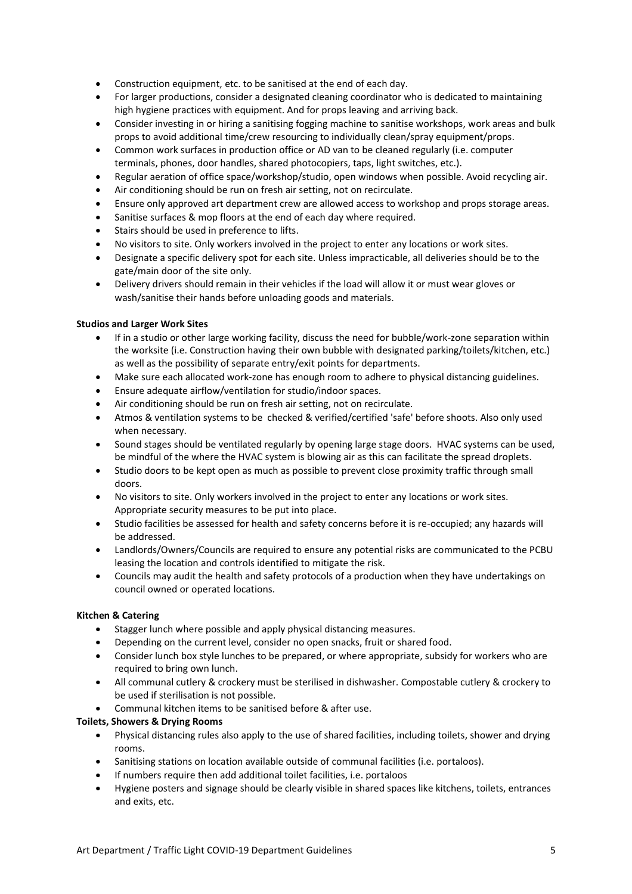- Construction equipment, etc. to be sanitised at the end of each day.
- For larger productions, consider a designated cleaning coordinator who is dedicated to maintaining high hygiene practices with equipment. And for props leaving and arriving back.
- Consider investing in or hiring a sanitising fogging machine to sanitise workshops, work areas and bulk props to avoid additional time/crew resourcing to individually clean/spray equipment/props.
- Common work surfaces in production office or AD van to be cleaned regularly (i.e. computer terminals, phones, door handles, shared photocopiers, taps, light switches, etc.).
- Regular aeration of office space/workshop/studio, open windows when possible. Avoid recycling air.
- Air conditioning should be run on fresh air setting, not on recirculate.
- Ensure only approved art department crew are allowed access to workshop and props storage areas.
- Sanitise surfaces & mop floors at the end of each day where required.
- Stairs should be used in preference to lifts.
- No visitors to site. Only workers involved in the project to enter any locations or work sites.
- Designate a specific delivery spot for each site. Unless impracticable, all deliveries should be to the gate/main door of the site only.
- Delivery drivers should remain in their vehicles if the load will allow it or must wear gloves or wash/sanitise their hands before unloading goods and materials.

#### **Studios and Larger Work Sites**

- If in a studio or other large working facility, discuss the need for bubble/work-zone separation within the worksite (i.e. Construction having their own bubble with designated parking/toilets/kitchen, etc.) as well as the possibility of separate entry/exit points for departments.
- Make sure each allocated work-zone has enough room to adhere to physical distancing guidelines.
- Ensure adequate airflow/ventilation for studio/indoor spaces.
- Air conditioning should be run on fresh air setting, not on recirculate.
- Atmos & ventilation systems to be checked & verified/certified 'safe' before shoots. Also only used when necessary.
- Sound stages should be ventilated regularly by opening large stage doors. HVAC systems can be used, be mindful of the where the HVAC system is blowing air as this can facilitate the spread droplets.
- Studio doors to be kept open as much as possible to prevent close proximity traffic through small doors.
- No visitors to site. Only workers involved in the project to enter any locations or work sites. Appropriate security measures to be put into place.
- Studio facilities be assessed for health and safety concerns before it is re-occupied; any hazards will be addressed.
- Landlords/Owners/Councils are required to ensure any potential risks are communicated to the PCBU leasing the location and controls identified to mitigate the risk.
- Councils may audit the health and safety protocols of a production when they have undertakings on council owned or operated locations.

#### **Kitchen & Catering**

- Stagger lunch where possible and apply physical distancing measures.
- Depending on the current level, consider no open snacks, fruit or shared food.
- Consider lunch box style lunches to be prepared, or where appropriate, subsidy for workers who are required to bring own lunch.
- All communal cutlery & crockery must be sterilised in dishwasher. Compostable cutlery & crockery to be used if sterilisation is not possible.
- Communal kitchen items to be sanitised before & after use.

#### **Toilets, Showers & Drying Rooms**

- Physical distancing rules also apply to the use of shared facilities, including toilets, shower and drying rooms.
- Sanitising stations on location available outside of communal facilities (i.e. portaloos).
- If numbers require then add additional toilet facilities, i.e. portaloos
- Hygiene posters and signage should be clearly visible in shared spaces like kitchens, toilets, entrances and exits, etc.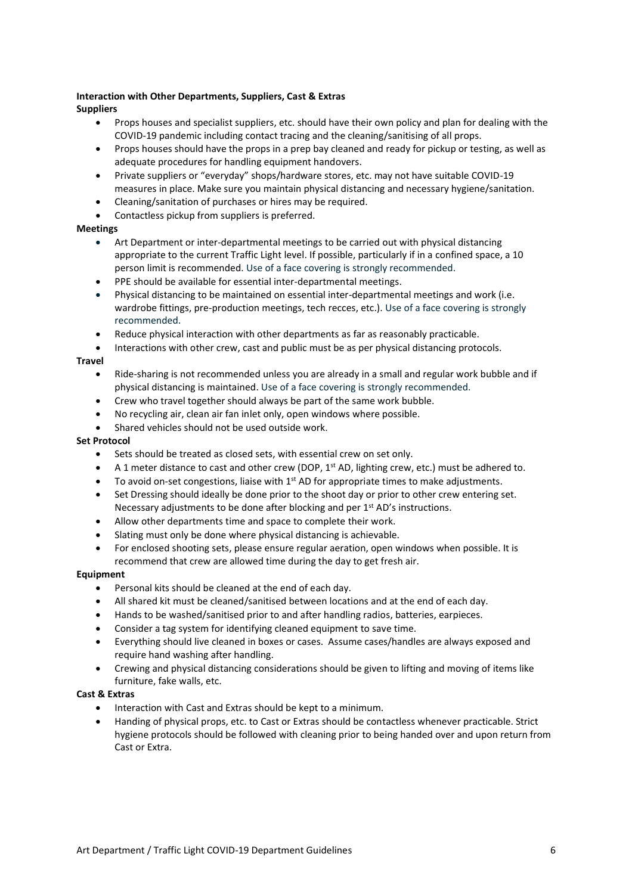#### **Interaction with Other Departments, Suppliers, Cast & Extras Suppliers**

- Props houses and specialist suppliers, etc. should have their own policy and plan for dealing with the COVID-19 pandemic including contact tracing and the cleaning/sanitising of all props.
- Props houses should have the props in a prep bay cleaned and ready for pickup or testing, as well as adequate procedures for handling equipment handovers.
- Private suppliers or "everyday" shops/hardware stores, etc. may not have suitable COVID-19 measures in place. Make sure you maintain physical distancing and necessary hygiene/sanitation.
- Cleaning/sanitation of purchases or hires may be required.
- Contactless pickup from suppliers is preferred.

#### **Meetings**

- Art Department or inter-departmental meetings to be carried out with physical distancing appropriate to the current Traffic Light level. If possible, particularly if in a confined space, a 10 person limit is recommended. Use of a face covering is strongly recommended.
- PPE should be available for essential inter-departmental meetings.
- Physical distancing to be maintained on essential inter-departmental meetings and work (i.e. wardrobe fittings, pre-production meetings, tech recces, etc.). Use of a face covering is strongly recommended.
- Reduce physical interaction with other departments as far as reasonably practicable.
- Interactions with other crew, cast and public must be as per physical distancing protocols.

#### **Travel**

- Ride-sharing is not recommended unless you are already in a small and regular work bubble and if physical distancing is maintained. Use of a face covering is strongly recommended.
- Crew who travel together should always be part of the same work bubble.
- No recycling air, clean air fan inlet only, open windows where possible.
- Shared vehicles should not be used outside work.

#### **Set Protocol**

- Sets should be treated as closed sets, with essential crew on set only.
- A 1 meter distance to cast and other crew (DOP,  $1^{st}$  AD, lighting crew, etc.) must be adhered to.
- To avoid on-set congestions, liaise with 1<sup>st</sup> AD for appropriate times to make adjustments.
- Set Dressing should ideally be done prior to the shoot day or prior to other crew entering set. Necessary adjustments to be done after blocking and per 1<sup>st</sup> AD's instructions.
- Allow other departments time and space to complete their work.
- Slating must only be done where physical distancing is achievable.
- For enclosed shooting sets, please ensure regular aeration, open windows when possible. It is recommend that crew are allowed time during the day to get fresh air.

#### **Equipment**

- Personal kits should be cleaned at the end of each day.
- All shared kit must be cleaned/sanitised between locations and at the end of each day.
- Hands to be washed/sanitised prior to and after handling radios, batteries, earpieces.
- Consider a tag system for identifying cleaned equipment to save time.
- Everything should live cleaned in boxes or cases. Assume cases/handles are always exposed and require hand washing after handling.
- Crewing and physical distancing considerations should be given to lifting and moving of items like furniture, fake walls, etc.

#### **Cast & Extras**

- Interaction with Cast and Extras should be kept to a minimum.
- Handing of physical props, etc. to Cast or Extras should be contactless whenever practicable. Strict hygiene protocols should be followed with cleaning prior to being handed over and upon return from Cast or Extra.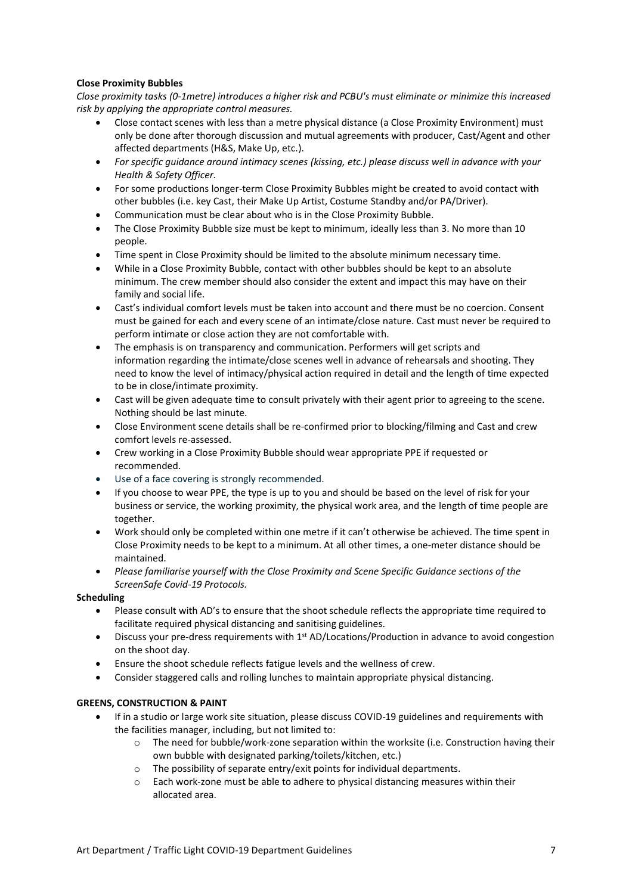#### **Close Proximity Bubbles**

*Close proximity tasks (0-1metre) introduces a higher risk and PCBU's must eliminate or minimize this increased risk by applying the appropriate control measures.* 

- Close contact scenes with less than a metre physical distance (a Close Proximity Environment) must only be done after thorough discussion and mutual agreements with producer, Cast/Agent and other affected departments (H&S, Make Up, etc.).
- *For specific guidance around intimacy scenes (kissing, etc.) please discuss well in advance with your Health & Safety Officer.*
- For some productions longer-term Close Proximity Bubbles might be created to avoid contact with other bubbles (i.e. key Cast, their Make Up Artist, Costume Standby and/or PA/Driver).
- Communication must be clear about who is in the Close Proximity Bubble.
- The Close Proximity Bubble size must be kept to minimum, ideally less than 3. No more than 10 people.
- Time spent in Close Proximity should be limited to the absolute minimum necessary time.
- While in a Close Proximity Bubble, contact with other bubbles should be kept to an absolute minimum. The crew member should also consider the extent and impact this may have on their family and social life.
- Cast's individual comfort levels must be taken into account and there must be no coercion. Consent must be gained for each and every scene of an intimate/close nature. Cast must never be required to perform intimate or close action they are not comfortable with.
- The emphasis is on transparency and communication. Performers will get scripts and information regarding the intimate/close scenes well in advance of rehearsals and shooting. They need to know the level of intimacy/physical action required in detail and the length of time expected to be in close/intimate proximity.
- Cast will be given adequate time to consult privately with their agent prior to agreeing to the scene. Nothing should be last minute.
- Close Environment scene details shall be re-confirmed prior to blocking/filming and Cast and crew comfort levels re-assessed.
- Crew working in a Close Proximity Bubble should wear appropriate PPE if requested or recommended.
- Use of a face covering is strongly recommended.
- If you choose to wear PPE, the type is up to you and should be based on the level of risk for your business or service, the working proximity, the physical work area, and the length of time people are together.
- Work should only be completed within one metre if it can't otherwise be achieved. The time spent in Close Proximity needs to be kept to a minimum. At all other times, a one-meter distance should be maintained.
- *Please familiarise yourself with the Close Proximity and Scene Specific Guidance sections of the ScreenSafe Covid-19 Protocols.*

#### **Scheduling**

- Please consult with AD's to ensure that the shoot schedule reflects the appropriate time required to facilitate required physical distancing and sanitising guidelines.
- Discuss your pre-dress requirements with 1<sup>st</sup> AD/Locations/Production in advance to avoid congestion on the shoot day.
- Ensure the shoot schedule reflects fatigue levels and the wellness of crew.
- Consider staggered calls and rolling lunches to maintain appropriate physical distancing.

#### **GREENS, CONSTRUCTION & PAINT**

- If in a studio or large work site situation, please discuss COVID-19 guidelines and requirements with the facilities manager, including, but not limited to:
	- $\circ$  The need for bubble/work-zone separation within the worksite (i.e. Construction having their own bubble with designated parking/toilets/kitchen, etc.)
	- o The possibility of separate entry/exit points for individual departments.
	- Each work-zone must be able to adhere to physical distancing measures within their allocated area.